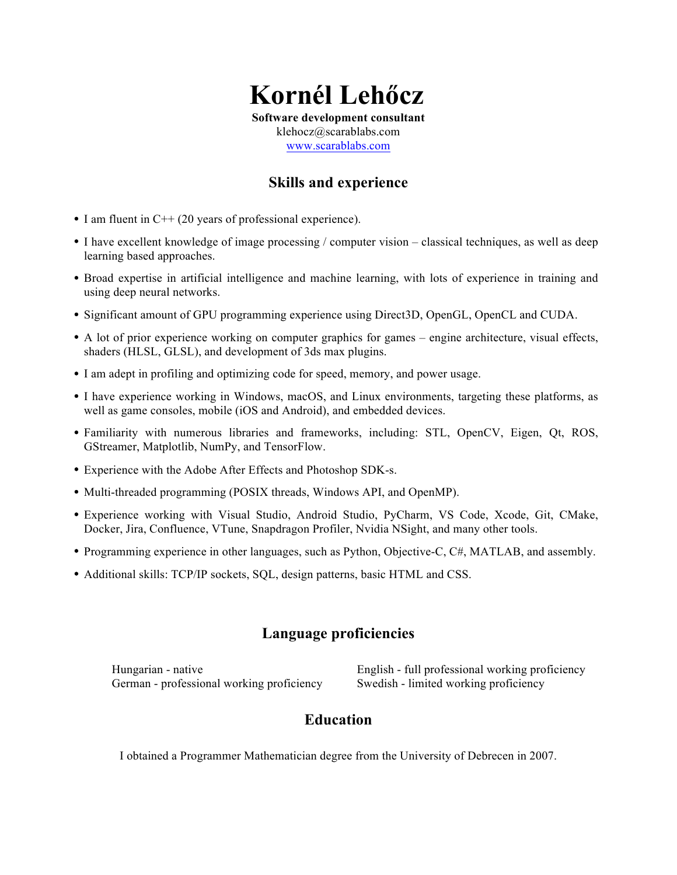# **Kornél Lehőcz**

**Software development consultant**

klehocz@scarablabs.com www.scarablabs.com

## **Skills and experience**

- I am fluent in C++ (20 years of professional experience).
- I have excellent knowledge of image processing / computer vision classical techniques, as well as deep learning based approaches.
- Broad expertise in artificial intelligence and machine learning, with lots of experience in training and using deep neural networks.
- Significant amount of GPU programming experience using Direct3D, OpenGL, OpenCL and CUDA.
- A lot of prior experience working on computer graphics for games engine architecture, visual effects, shaders (HLSL, GLSL), and development of 3ds max plugins.
- I am adept in profiling and optimizing code for speed, memory, and power usage.
- I have experience working in Windows, macOS, and Linux environments, targeting these platforms, as well as game consoles, mobile (iOS and Android), and embedded devices.
- Familiarity with numerous libraries and frameworks, including: STL, OpenCV, Eigen, Qt, ROS, GStreamer, Matplotlib, NumPy, and TensorFlow.
- Experience with the Adobe After Effects and Photoshop SDK-s.
- Multi-threaded programming (POSIX threads, Windows API, and OpenMP).
- Experience working with Visual Studio, Android Studio, PyCharm, VS Code, Xcode, Git, CMake, Docker, Jira, Confluence, VTune, Snapdragon Profiler, Nvidia NSight, and many other tools.
- Programming experience in other languages, such as Python, Objective-C, C#, MATLAB, and assembly.
- Additional skills: TCP/IP sockets, SQL, design patterns, basic HTML and CSS.

## **Language proficiencies**

German - professional working proficiency Swedish - limited working proficiency

Hungarian - native English - full professional working proficiency

## **Education**

I obtained a Programmer Mathematician degree from the University of Debrecen in 2007.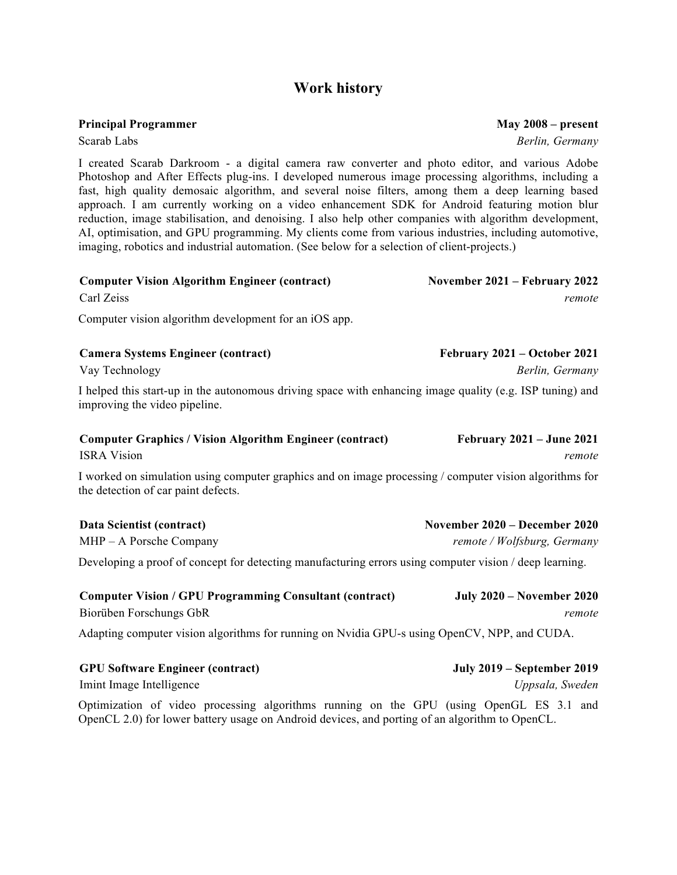## **Work history**

**Principal Programmer**

**GPU Software Engineer (contract)**

Scarab Labs

I created Scarab Darkroom - a digital camera raw converter and photo editor, and various Adobe Photoshop and After Effects plug-ins. I developed numerous image processing algorithms, including a fast, high quality demosaic algorithm, and several noise filters, among them a deep learning based approach. I am currently working on a video enhancement SDK for Android featuring motion blur reduction, image stabilisation, and denoising. I also help other companies with algorithm development, AI, optimisation, and GPU programming. My clients come from various industries, including automotive, imaging, robotics and industrial automation. (See below for a selection of client-projects.)

| <b>Computer Vision Algorithm Engineer (contract)</b><br>Carl Zeiss                                                                                                                        | November 2021 – February 2022<br>remote                      |
|-------------------------------------------------------------------------------------------------------------------------------------------------------------------------------------------|--------------------------------------------------------------|
| Computer vision algorithm development for an iOS app.                                                                                                                                     |                                                              |
| <b>Camera Systems Engineer (contract)</b><br>Vay Technology                                                                                                                               | February 2021 – October 2021<br>Berlin, Germany              |
| I helped this start-up in the autonomous driving space with enhancing image quality (e.g. ISP tuning) and<br>improving the video pipeline.                                                |                                                              |
| <b>Computer Graphics / Vision Algorithm Engineer (contract)</b><br><b>ISRA Vision</b>                                                                                                     | <b>February 2021 – June 2021</b><br>remote                   |
| I worked on simulation using computer graphics and on image processing / computer vision algorithms for<br>the detection of car paint defects.                                            |                                                              |
| Data Scientist (contract)<br>MHP - A Porsche Company                                                                                                                                      | November 2020 – December 2020<br>remote / Wolfsburg, Germany |
| Developing a proof of concept for detecting manufacturing errors using computer vision / deep learning.                                                                                   |                                                              |
| <b>Computer Vision / GPU Programming Consultant (contract)</b><br>Biorüben Forschungs GbR<br>Adapting computer vision algorithms for running on Nvidia GPU-s using OpenCV, NPP, and CUDA. | <b>July 2020 – November 2020</b><br>remote                   |

| <b>OI U BUILWALU ENGINUL TUNU AUT</b>                                                          | $J^{\mu}$ uly 2017 – Schichiber 2017 |  |  |
|------------------------------------------------------------------------------------------------|--------------------------------------|--|--|
| Imint Image Intelligence                                                                       | Uppsala, Sweden                      |  |  |
| Optimization of video processing algorithms running on the GPU (using OpenGL ES 3.1 and        |                                      |  |  |
| OpenCL 2.0) for lower battery usage on Android devices, and porting of an algorithm to OpenCL. |                                      |  |  |

*Berlin, Germany*

**July 2019 – September 2019**

**May 2008 – present**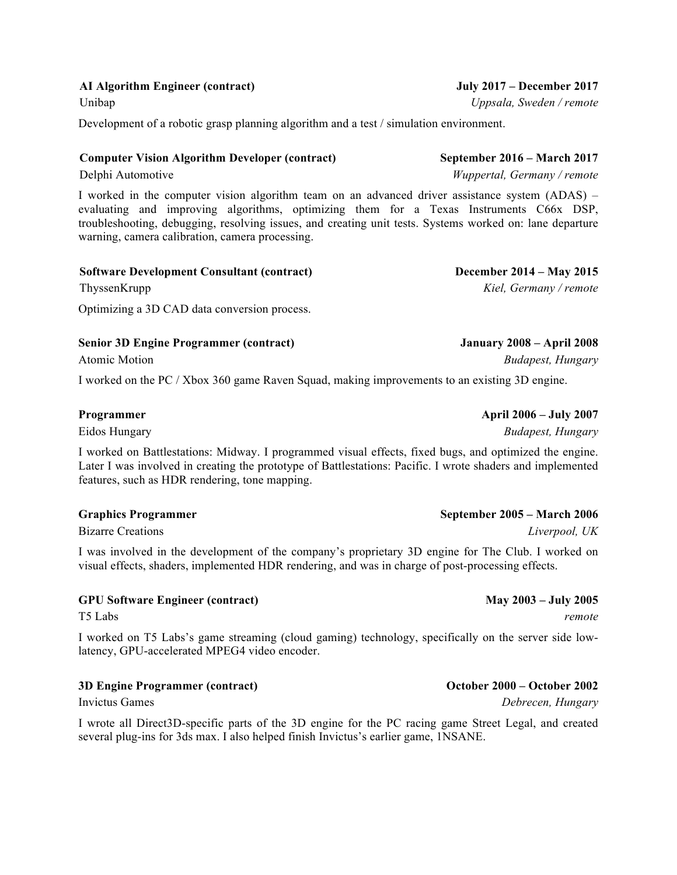#### **AI Algorithm Engineer (contract)**

Unibap

Development of a robotic grasp planning algorithm and a test / simulation environment.

#### **Computer Vision Algorithm Developer (contract)**

Delphi Automotive

I worked in the computer vision algorithm team on an advanced driver assistance system (ADAS) – evaluating and improving algorithms, optimizing them for a Texas Instruments C66x DSP, troubleshooting, debugging, resolving issues, and creating unit tests. Systems worked on: lane departure warning, camera calibration, camera processing.

| <b>Software Development Consultant (contract)</b> | <b>December 2014 – May 2015</b> |
|---------------------------------------------------|---------------------------------|
| ThyssenKrupp                                      | Kiel, Germany / remote          |
| Optimizing a 3D CAD data conversion process.      |                                 |

#### **Senior 3D Engine Programmer (contract)**

Atomic Motion

I worked on the PC / Xbox 360 game Raven Squad, making improvements to an existing 3D engine.

#### **Programmer**

Eidos Hungary

I worked on Battlestations: Midway. I programmed visual effects, fixed bugs, and optimized the engine. Later I was involved in creating the prototype of Battlestations: Pacific. I wrote shaders and implemented features, such as HDR rendering, tone mapping.

#### **Graphics Programmer**

Bizarre Creations

I was involved in the development of the company's proprietary 3D engine for The Club. I worked on visual effects, shaders, implemented HDR rendering, and was in charge of post-processing effects.

#### **GPU Software Engineer (contract)**

T5 Labs

I worked on T5 Labs's game streaming (cloud gaming) technology, specifically on the server side lowlatency, GPU-accelerated MPEG4 video encoder.

#### **3D Engine Programmer (contract)**

Invictus Games

I wrote all Direct3D-specific parts of the 3D engine for the PC racing game Street Legal, and created several plug-ins for 3ds max. I also helped finish Invictus's earlier game, 1NSANE.

#### **September 2005 – March 2006**

*Liverpool, UK*

## **May 2003 – July 2005**

*Debrecen, Hungary*

**October 2000 – October 2002**

*remote*

## *Uppsala, Sweden / remote*

**July 2017 – December 2017**

**September 2016 – March 2017** *Wuppertal, Germany / remote*

**January 2008 – April 2008**

*Budapest, Hungary*

**April 2006 – July 2007**

*Budapest, Hungary*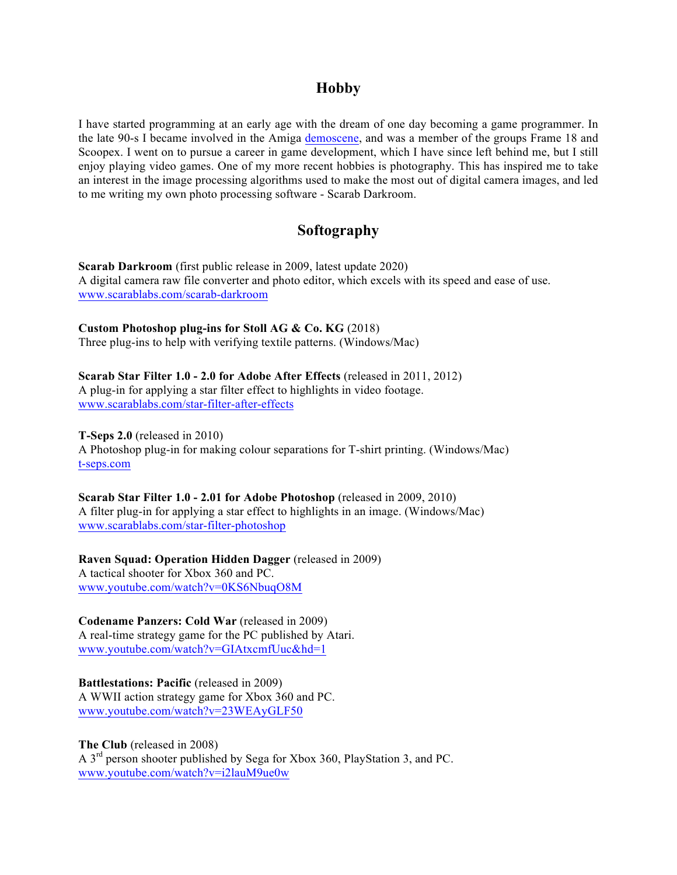### **Hobby**

I have started programming at an early age with the dream of one day becoming a game programmer. In the late 90-s I became involved in the Amiga demoscene, and was a member of the groups Frame 18 and Scoopex. I went on to pursue a career in game development, which I have since left behind me, but I still enjoy playing video games. One of my more recent hobbies is photography. This has inspired me to take an interest in the image processing algorithms used to make the most out of digital camera images, and led to me writing my own photo processing software - Scarab Darkroom.

## **Softography**

**Scarab Darkroom** (first public release in 2009, latest update 2020) A digital camera raw file converter and photo editor, which excels with its speed and ease of use. www.scarablabs.com/scarab-darkroom

**Custom Photoshop plug-ins for Stoll AG & Co. KG** (2018) Three plug-ins to help with verifying textile patterns. (Windows/Mac)

**Scarab Star Filter 1.0 - 2.0 for Adobe After Effects** (released in 2011, 2012) A plug-in for applying a star filter effect to highlights in video footage. www.scarablabs.com/star-filter-after-effects

**T-Seps 2.0** (released in 2010) A Photoshop plug-in for making colour separations for T-shirt printing. (Windows/Mac) t-seps.com

**Scarab Star Filter 1.0 - 2.01 for Adobe Photoshop** (released in 2009, 2010) A filter plug-in for applying a star effect to highlights in an image. (Windows/Mac) www.scarablabs.com/star-filter-photoshop

**Raven Squad: Operation Hidden Dagger** (released in 2009) A tactical shooter for Xbox 360 and PC. www.youtube.com/watch?v=0KS6NbuqO8M

**Codename Panzers: Cold War** (released in 2009) A real-time strategy game for the PC published by Atari. www.youtube.com/watch?v=GIAtxcmfUuc&hd=1

**Battlestations: Pacific (released in 2009)** A WWII action strategy game for Xbox 360 and PC. www.youtube.com/watch?v=23WEAyGLF50

**The Club** (released in 2008) A 3rd person shooter published by Sega for Xbox 360, PlayStation 3, and PC. www.youtube.com/watch?v=i2lauM9ue0w